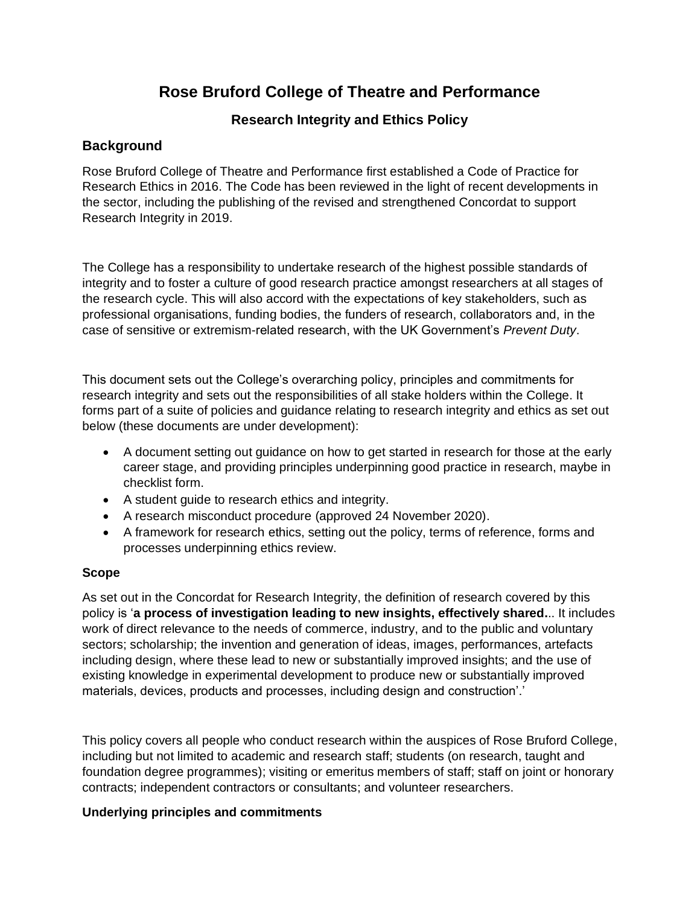# **Rose Bruford College of Theatre and Performance**

## **Research Integrity and Ethics Policy**

### **Background**

Rose Bruford College of Theatre and Performance first established a Code of Practice for Research Ethics in 2016. The Code has been reviewed in the light of recent developments in the sector, including the publishing of the revised and strengthened Concordat to support Research Integrity in 2019.

The College has a responsibility to undertake research of the highest possible standards of integrity and to foster a culture of good research practice amongst researchers at all stages of the research cycle. This will also accord with the expectations of key stakeholders, such as professional organisations, funding bodies, the funders of research, collaborators and, in the case of sensitive or extremism-related research, with the UK Government's *Prevent Duty*.

This document sets out the College's overarching policy, principles and commitments for research integrity and sets out the responsibilities of all stake holders within the College. It forms part of a suite of policies and guidance relating to research integrity and ethics as set out below (these documents are under development):

- A document setting out guidance on how to get started in research for those at the early career stage, and providing principles underpinning good practice in research, maybe in checklist form.
- A student guide to research ethics and integrity.
- A research misconduct procedure (approved 24 November 2020).
- A framework for research ethics, setting out the policy, terms of reference, forms and processes underpinning ethics review.

#### **Scope**

As set out in the Concordat for Research Integrity, the definition of research covered by this policy is '**a process of investigation leading to new insights, effectively shared.**.. It includes work of direct relevance to the needs of commerce, industry, and to the public and voluntary sectors; scholarship; the invention and generation of ideas, images, performances, artefacts including design, where these lead to new or substantially improved insights; and the use of existing knowledge in experimental development to produce new or substantially improved materials, devices, products and processes, including design and construction'.'

This policy covers all people who conduct research within the auspices of Rose Bruford College, including but not limited to academic and research staff; students (on research, taught and foundation degree programmes); visiting or emeritus members of staff; staff on joint or honorary contracts; independent contractors or consultants; and volunteer researchers.

#### **Underlying principles and commitments**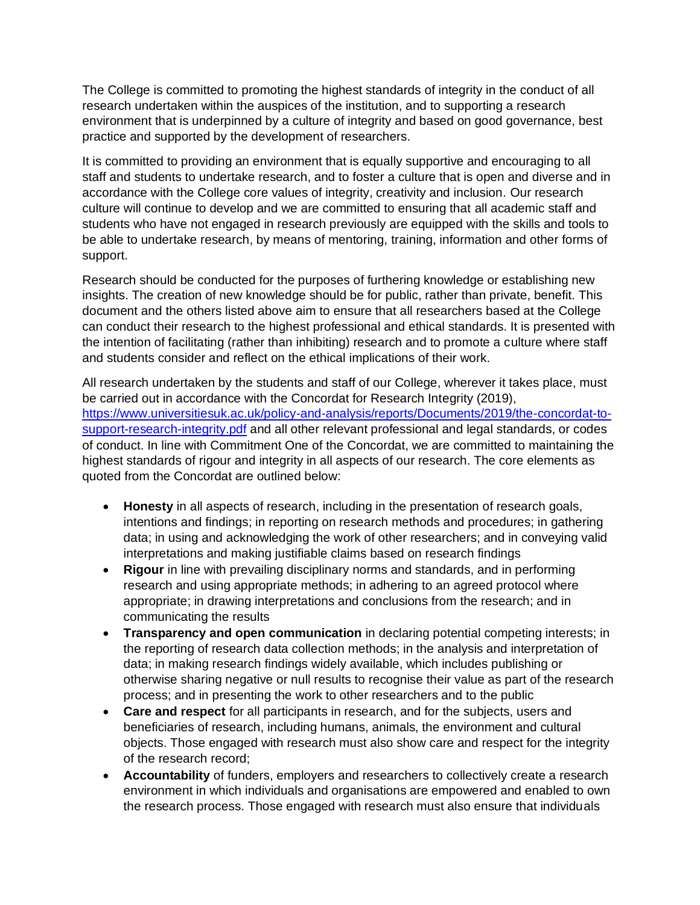The College is committed to promoting the highest standards of integrity in the conduct of all research undertaken within the auspices of the institution, and to supporting a research environment that is underpinned by a culture of integrity and based on good governance, best practice and supported by the development of researchers.

It is committed to providing an environment that is equally supportive and encouraging to all staff and students to undertake research, and to foster a culture that is open and diverse and in accordance with the College core values of integrity, creativity and inclusion. Our research culture will continue to develop and we are committed to ensuring that all academic staff and students who have not engaged in research previously are equipped with the skills and tools to be able to undertake research, by means of mentoring, training, information and other forms of support.

Research should be conducted for the purposes of furthering knowledge or establishing new insights. The creation of new knowledge should be for public, rather than private, benefit. This document and the others listed above aim to ensure that all researchers based at the College can conduct their research to the highest professional and ethical standards. It is presented with the intention of facilitating (rather than inhibiting) research and to promote a culture where staff and students consider and reflect on the ethical implications of their work.

All research undertaken by the students and staff of our College, wherever it takes place, must be carried out in accordance with the Concordat for Research Integrity (2019), [https://www.universitiesuk.ac.uk/policy-and-analysis/reports/Documents/2019/the-concordat-to](https://www.universitiesuk.ac.uk/policy-and-analysis/reports/Documents/2019/the-concordat-to-support-research-integrity.pdf)[support-research-integrity.pdf](https://www.universitiesuk.ac.uk/policy-and-analysis/reports/Documents/2019/the-concordat-to-support-research-integrity.pdf) and all other relevant professional and legal standards, or codes of conduct. In line with Commitment One of the Concordat, we are committed to maintaining the highest standards of rigour and integrity in all aspects of our research. The core elements as quoted from the Concordat are outlined below:

- **Honesty** in all aspects of research, including in the presentation of research goals, intentions and findings; in reporting on research methods and procedures; in gathering data; in using and acknowledging the work of other researchers; and in conveying valid interpretations and making justifiable claims based on research findings
- **Rigour** in line with prevailing disciplinary norms and standards, and in performing research and using appropriate methods; in adhering to an agreed protocol where appropriate; in drawing interpretations and conclusions from the research; and in communicating the results
- **Transparency and open communication** in declaring potential competing interests; in the reporting of research data collection methods; in the analysis and interpretation of data; in making research findings widely available, which includes publishing or otherwise sharing negative or null results to recognise their value as part of the research process; and in presenting the work to other researchers and to the public
- **Care and respect** for all participants in research, and for the subjects, users and beneficiaries of research, including humans, animals, the environment and cultural objects. Those engaged with research must also show care and respect for the integrity of the research record;
- **Accountability** of funders, employers and researchers to collectively create a research environment in which individuals and organisations are empowered and enabled to own the research process. Those engaged with research must also ensure that individuals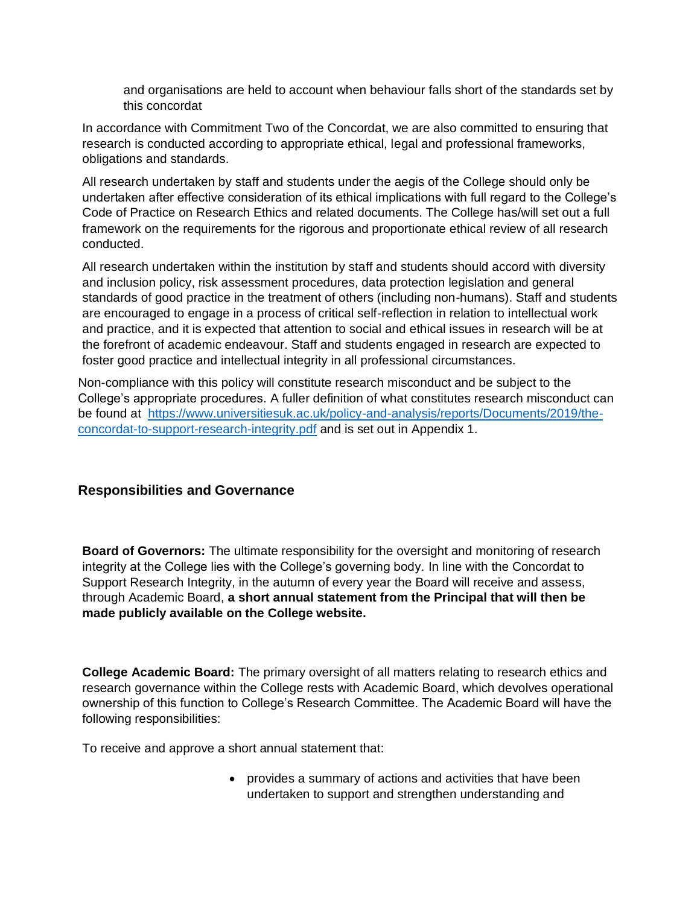and organisations are held to account when behaviour falls short of the standards set by this concordat

In accordance with Commitment Two of the Concordat, we are also committed to ensuring that research is conducted according to appropriate ethical, legal and professional frameworks, obligations and standards.

All research undertaken by staff and students under the aegis of the College should only be undertaken after effective consideration of its ethical implications with full regard to the College's Code of Practice on Research Ethics and related documents. The College has/will set out a full framework on the requirements for the rigorous and proportionate ethical review of all research conducted.

All research undertaken within the institution by staff and students should accord with diversity and inclusion policy, risk assessment procedures, data protection legislation and general standards of good practice in the treatment of others (including non-humans). Staff and students are encouraged to engage in a process of critical self-reflection in relation to intellectual work and practice, and it is expected that attention to social and ethical issues in research will be at the forefront of academic endeavour. Staff and students engaged in research are expected to foster good practice and intellectual integrity in all professional circumstances.

Non-compliance with this policy will constitute research misconduct and be subject to the College's appropriate procedures. A fuller definition of what constitutes research misconduct can be found at [https://www.universitiesuk.ac.uk/policy-and-analysis/reports/Documents/2019/the](https://www.universitiesuk.ac.uk/policy-and-analysis/reports/Documents/2019/the-concordat-to-support-research-integrity.pdf)[concordat-to-support-research-integrity.pdf](https://www.universitiesuk.ac.uk/policy-and-analysis/reports/Documents/2019/the-concordat-to-support-research-integrity.pdf) and is set out in Appendix 1.

### **Responsibilities and Governance**

**Board of Governors:** The ultimate responsibility for the oversight and monitoring of research integrity at the College lies with the College's governing body. In line with the Concordat to Support Research Integrity, in the autumn of every year the Board will receive and assess, through Academic Board, **a short annual statement from the Principal that will then be made publicly available on the College website.**

**College Academic Board:** The primary oversight of all matters relating to research ethics and research governance within the College rests with Academic Board, which devolves operational ownership of this function to College's Research Committee. The Academic Board will have the following responsibilities:

To receive and approve a short annual statement that:

• provides a summary of actions and activities that have been undertaken to support and strengthen understanding and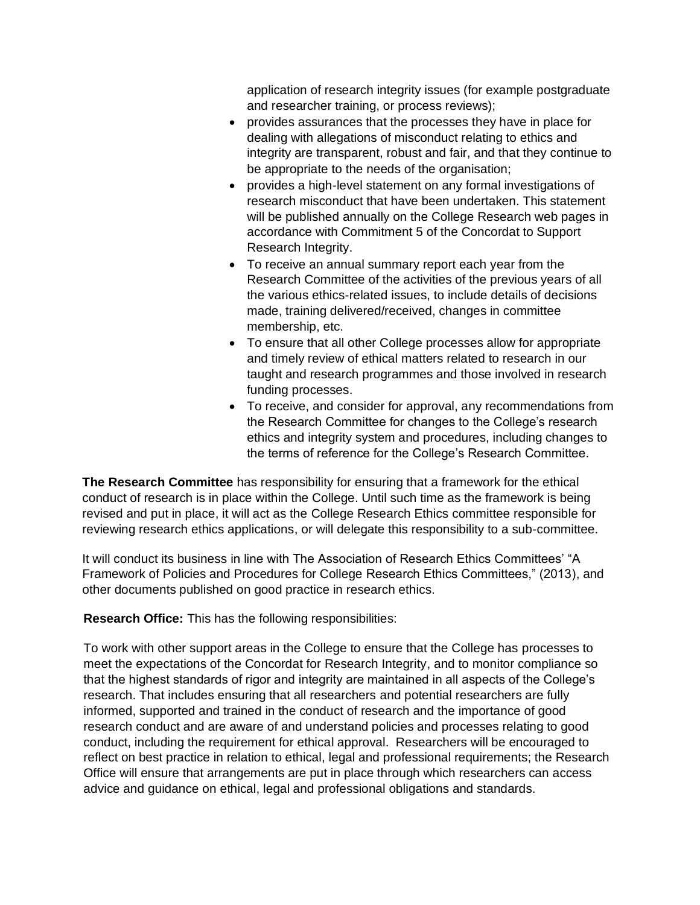application of research integrity issues (for example postgraduate and researcher training, or process reviews);

- provides assurances that the processes they have in place for dealing with allegations of misconduct relating to ethics and integrity are transparent, robust and fair, and that they continue to be appropriate to the needs of the organisation;
- provides a high-level statement on any formal investigations of research misconduct that have been undertaken. This statement will be published annually on the College Research web pages in accordance with Commitment 5 of the Concordat to Support Research Integrity.
- To receive an annual summary report each year from the Research Committee of the activities of the previous years of all the various ethics-related issues, to include details of decisions made, training delivered/received, changes in committee membership, etc.
- To ensure that all other College processes allow for appropriate and timely review of ethical matters related to research in our taught and research programmes and those involved in research funding processes.
- To receive, and consider for approval, any recommendations from the Research Committee for changes to the College's research ethics and integrity system and procedures, including changes to the terms of reference for the College's Research Committee.

**The Research Committee** has responsibility for ensuring that a framework for the ethical conduct of research is in place within the College. Until such time as the framework is being revised and put in place, it will act as the College Research Ethics committee responsible for reviewing research ethics applications, or will delegate this responsibility to a sub-committee.

It will conduct its business in line with The Association of Research Ethics Committees' "A Framework of Policies and Procedures for College Research Ethics Committees," (2013), and other documents published on good practice in research ethics.

**Research Office:** This has the following responsibilities:

To work with other support areas in the College to ensure that the College has processes to meet the expectations of the Concordat for Research Integrity, and to monitor compliance so that the highest standards of rigor and integrity are maintained in all aspects of the College's research. That includes ensuring that all researchers and potential researchers are fully informed, supported and trained in the conduct of research and the importance of good research conduct and are aware of and understand policies and processes relating to good conduct, including the requirement for ethical approval. Researchers will be encouraged to reflect on best practice in relation to ethical, legal and professional requirements; the Research Office will ensure that arrangements are put in place through which researchers can access advice and guidance on ethical, legal and professional obligations and standards.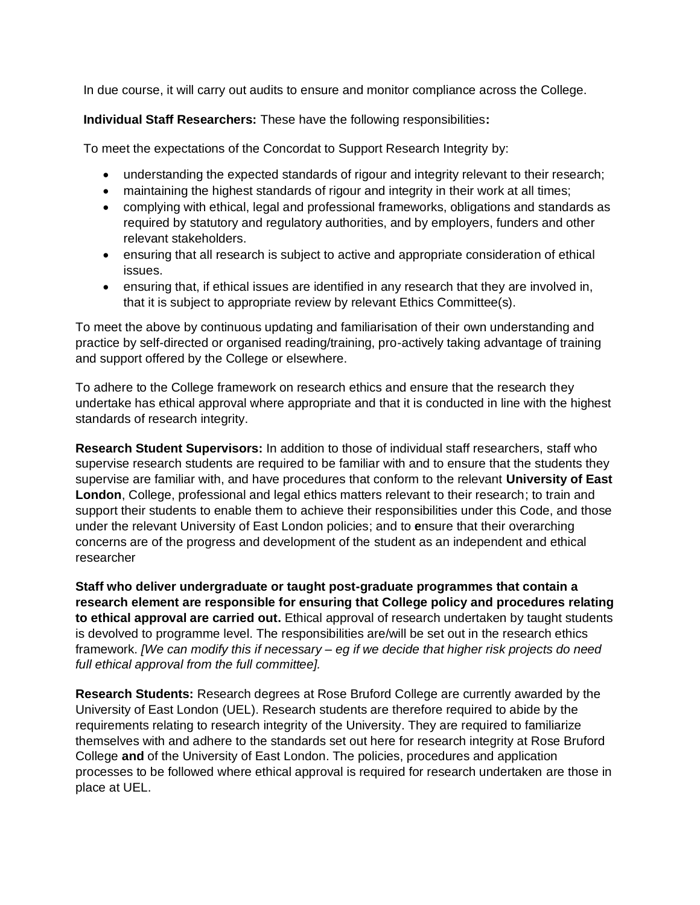In due course, it will carry out audits to ensure and monitor compliance across the College.

**Individual Staff Researchers:** These have the following responsibilities**:**

To meet the expectations of the Concordat to Support Research Integrity by:

- understanding the expected standards of rigour and integrity relevant to their research;
- maintaining the highest standards of rigour and integrity in their work at all times;
- complying with ethical, legal and professional frameworks, obligations and standards as required by statutory and regulatory authorities, and by employers, funders and other relevant stakeholders.
- ensuring that all research is subject to active and appropriate consideration of ethical issues.
- ensuring that, if ethical issues are identified in any research that they are involved in, that it is subject to appropriate review by relevant Ethics Committee(s).

To meet the above by continuous updating and familiarisation of their own understanding and practice by self-directed or organised reading/training, pro-actively taking advantage of training and support offered by the College or elsewhere.

To adhere to the College framework on research ethics and ensure that the research they undertake has ethical approval where appropriate and that it is conducted in line with the highest standards of research integrity.

**Research Student Supervisors:** In addition to those of individual staff researchers, staff who supervise research students are required to be familiar with and to ensure that the students they supervise are familiar with, and have procedures that conform to the relevant **University of East London**, College, professional and legal ethics matters relevant to their research; to train and support their students to enable them to achieve their responsibilities under this Code, and those under the relevant University of East London policies; and to **e**nsure that their overarching concerns are of the progress and development of the student as an independent and ethical researcher

**Staff who deliver undergraduate or taught post-graduate programmes that contain a research element are responsible for ensuring that College policy and procedures relating to ethical approval are carried out.** Ethical approval of research undertaken by taught students is devolved to programme level. The responsibilities are/will be set out in the research ethics framework. *[We can modify this if necessary – eg if we decide that higher risk projects do need full ethical approval from the full committee].*

**Research Students:** Research degrees at Rose Bruford College are currently awarded by the University of East London (UEL). Research students are therefore required to abide by the requirements relating to research integrity of the University. They are required to familiarize themselves with and adhere to the standards set out here for research integrity at Rose Bruford College **and** of the University of East London. The policies, procedures and application processes to be followed where ethical approval is required for research undertaken are those in place at UEL.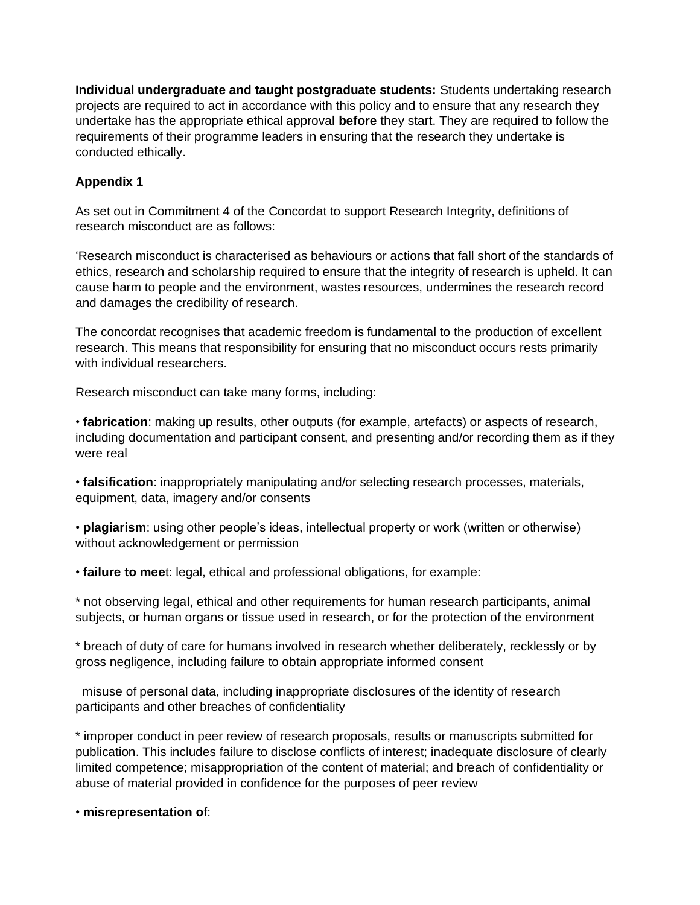**Individual undergraduate and taught postgraduate students:** Students undertaking research projects are required to act in accordance with this policy and to ensure that any research they undertake has the appropriate ethical approval **before** they start. They are required to follow the requirements of their programme leaders in ensuring that the research they undertake is conducted ethically.

## **Appendix 1**

As set out in Commitment 4 of the Concordat to support Research Integrity, definitions of research misconduct are as follows:

'Research misconduct is characterised as behaviours or actions that fall short of the standards of ethics, research and scholarship required to ensure that the integrity of research is upheld. It can cause harm to people and the environment, wastes resources, undermines the research record and damages the credibility of research.

The concordat recognises that academic freedom is fundamental to the production of excellent research. This means that responsibility for ensuring that no misconduct occurs rests primarily with individual researchers.

Research misconduct can take many forms, including:

• **fabrication**: making up results, other outputs (for example, artefacts) or aspects of research, including documentation and participant consent, and presenting and/or recording them as if they were real

• **falsification**: inappropriately manipulating and/or selecting research processes, materials, equipment, data, imagery and/or consents

• **plagiarism**: using other people's ideas, intellectual property or work (written or otherwise) without acknowledgement or permission

• **failure to mee**t: legal, ethical and professional obligations, for example:

\* not observing legal, ethical and other requirements for human research participants, animal subjects, or human organs or tissue used in research, or for the protection of the environment

\* breach of duty of care for humans involved in research whether deliberately, recklessly or by gross negligence, including failure to obtain appropriate informed consent

misuse of personal data, including inappropriate disclosures of the identity of research participants and other breaches of confidentiality

\* improper conduct in peer review of research proposals, results or manuscripts submitted for publication. This includes failure to disclose conflicts of interest; inadequate disclosure of clearly limited competence; misappropriation of the content of material; and breach of confidentiality or abuse of material provided in confidence for the purposes of peer review

• **misrepresentation o**f: